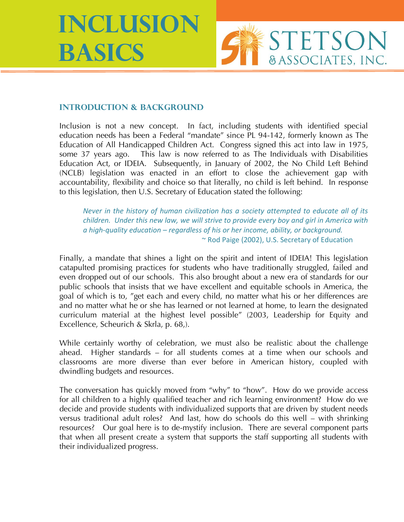**Inclusion Basics**



### **Introduction & Background**

Inclusion is not a new concept. In fact, including students with identified special education needs has been a Federal "mandate" since PL 94-142, formerly known as The Education of All Handicapped Children Act. Congress signed this act into law in 1975, some 37 years ago. This law is now referred to as The Individuals with Disabilities Education Act, or IDEIA. Subsequently, in January of 2002, the No Child Left Behind (NCLB) legislation was enacted in an effort to close the achievement gap with accountability, flexibility and choice so that literally, no child is left behind. In response to this legislation, then U.S. Secretary of Education stated the following:

*Never in the history of human civilization has a society attempted to educate all of its children. Under this new law, we will strive to provide every boy and girl in America with a high-quality education – regardless of his or her income, ability, or background.*  ~ Rod Paige (2002), U.S. Secretary of Education

Finally, a mandate that shines a light on the spirit and intent of IDEIA! This legislation catapulted promising practices for students who have traditionally struggled, failed and even dropped out of our schools. This also brought about a new era of standards for our public schools that insists that we have excellent and equitable schools in America, the goal of which is to, "get each and every child, no matter what his or her differences are and no matter what he or she has learned or not learned at home, to learn the designated curriculum material at the highest level possible" (2003, Leadership for Equity and Excellence, Scheurich & Skrla, p. 68,).

While certainly worthy of celebration, we must also be realistic about the challenge ahead. Higher standards – for all students comes at a time when our schools and classrooms are more diverse than ever before in American history, coupled with dwindling budgets and resources.

The conversation has quickly moved from "why" to "how". How do we provide access for all children to a highly qualified teacher and rich learning environment? How do we decide and provide students with individualized supports that are driven by student needs versus traditional adult roles? And last, how do schools do this well – with shrinking resources? Our goal here is to de-mystify inclusion. There are several component parts that when all present create a system that supports the staff supporting all students with their individualized progress.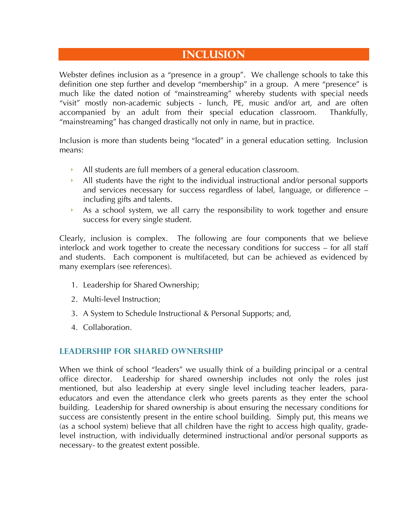# **Inclusion**

Webster defines inclusion as a "presence in a group". We challenge schools to take this definition one step further and develop "membership" in a group. A mere "presence" is much like the dated notion of "mainstreaming" whereby students with special needs "visit" mostly non-academic subjects - lunch, PE, music and/or art, and are often accompanied by an adult from their special education classroom. Thankfully, "mainstreaming" has changed drastically not only in name, but in practice.

Inclusion is more than students being "located" in a general education setting. Inclusion means:

- All students are full members of a general education classroom.
- All students have the right to the individual instructional and/or personal supports and services necessary for success regardless of label, language, or difference – including gifts and talents.
- As a school system, we all carry the responsibility to work together and ensure success for every single student.

Clearly, inclusion is complex. The following are four components that we believe interlock and work together to create the necessary conditions for success – for all staff and students. Each component is multifaceted, but can be achieved as evidenced by many exemplars (see references).

- 1. Leadership for Shared Ownership;
- 2. Multi-level Instruction;
- 3. A System to Schedule Instructional & Personal Supports; and,
- 4. Collaboration.

### **Leadership for Shared Ownership**

When we think of school "leaders" we usually think of a building principal or a central office director. Leadership for shared ownership includes not only the roles just mentioned, but also leadership at every single level including teacher leaders, paraeducators and even the attendance clerk who greets parents as they enter the school building. Leadership for shared ownership is about ensuring the necessary conditions for success are consistently present in the entire school building. Simply put, this means we (as a school system) believe that all children have the right to access high quality, gradelevel instruction, with individually determined instructional and/or personal supports as necessary- to the greatest extent possible.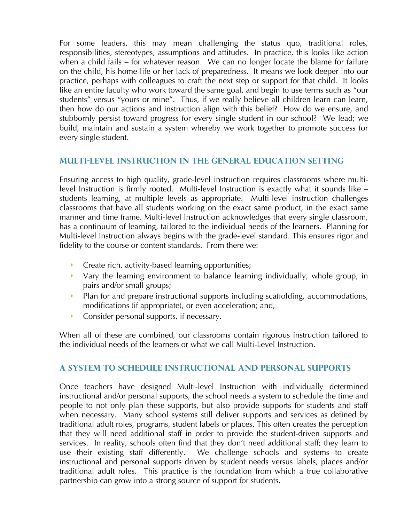For some leaders, this may mean challenging the status quo, traditional roles, responsibilities, stereotypes, assumptions and attitudes. In practice, this looks like action when a child fails – for whatever reason. We can no longer locate the blame for failure on the child, his home-life or her lack of preparedness. It means we look deeper into our practice, perhaps with colleagues to craft the next step or support for that child. It looks like an entire faculty who work toward the same goal, and begin to use terms such as "our students" versus "yours or mine". Thus, if we really believe all children learn can learn, then how do our actions and instruction align with this belief? How do we ensure, and stubbornly persist toward progress for every single student in our school? We lead; we build, maintain and sustain a system whereby we work together to promote success for every single student.

### **Multi-level instruction in the General Education Setting**

Ensuring access to high quality, grade-level instruction requires classrooms where multilevel Instruction is firmly rooted. Multi-level Instruction is exactly what it sounds like – students learning, at multiple levels as appropriate. Multi-level instruction challenges classrooms that have all students working on the exact same product, in the exact same manner and time frame. Multi-level Instruction acknowledges that every single classroom, has a continuum of learning, tailored to the individual needs of the learners. Planning for Multi-level Instruction always begins with the grade-level standard. This ensures rigor and fidelity to the course or content standards. From there we:

- Create rich, activity-based learning opportunities;
- $\rightarrow$  Vary the learning environment to balance learning individually, whole group, in pairs and/or small groups;
- Plan for and prepare instructional supports including scaffolding, accommodations, modifications (if appropriate), or even acceleration; and,
- **Consider personal supports, if necessary.**

When all of these are combined, our classrooms contain rigorous instruction tailored to the individual needs of the learners or what we call Multi-Level Instruction.

### **A System to Schedule Instructional and Personal Supports**

Once teachers have designed Multi-level Instruction with individually determined instructional and/or personal supports, the school needs a system to schedule the time and people to not only plan these supports, but also provide supports for students and staff when necessary. Many school systems still deliver supports and services as defined by traditional adult roles, programs, student labels or places. This often creates the perception that they will need additional staff in order to provide the student-driven supports and services. In reality, schools often find that they don't need additional staff; they learn to use their existing staff differently. We challenge schools and systems to create instructional and personal supports driven by student needs versus labels, places and/or traditional adult roles. This practice is the foundation from which a true collaborative partnership can grow into a strong source of support for students.